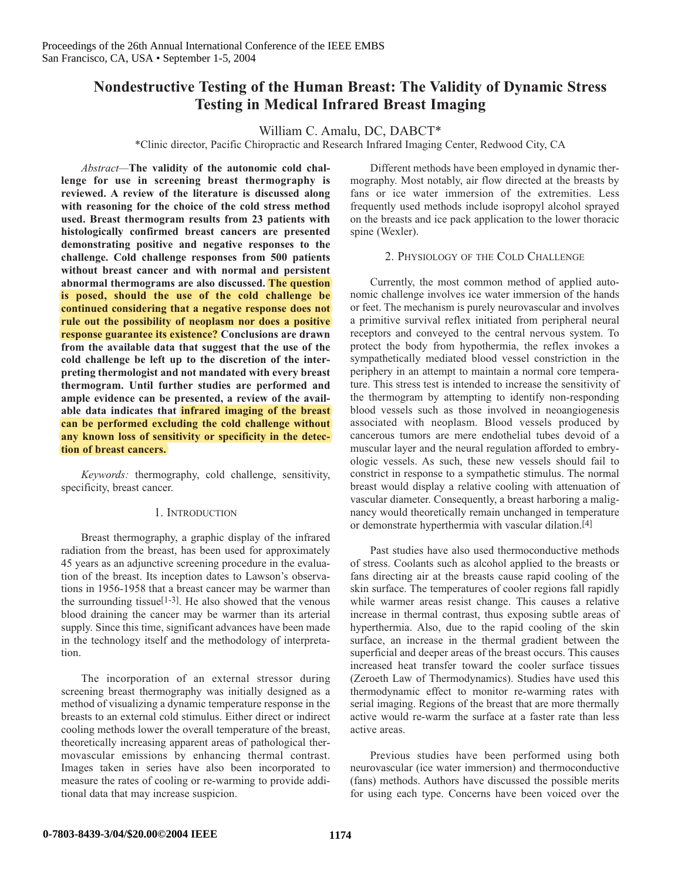# **Nondestructive Testing of the Human Breast: The Validity of Dynamic Stress Testing in Medical Infrared Breast Imaging**

William C. Amalu, DC, DABCT\*

\*Clinic director, Pacific Chiropractic and Research Infrared Imaging Center, Redwood City, CA

*Abstract—***The validity of the autonomic cold challenge for use in screening breast thermography is reviewed. A review of the literature is discussed along with reasoning for the choice of the cold stress method used. Breast thermogram results from 23 patients with histologically confirmed breast cancers are presented demonstrating positive and negative responses to the challenge. Cold challenge responses from 500 patients without breast cancer and with normal and persistent abnormal thermograms are also discussed. The question is posed, should the use of the cold challenge be continued considering that a negative response does not rule out the possibility of neoplasm nor does a positive response guarantee its existence? Conclusions are drawn from the available data that suggest that the use of the cold challenge be left up to the discretion of the interpreting thermologist and not mandated with every breast thermogram. Until further studies are performed and ample evidence can be presented, a review of the available data indicates that infrared imaging of the breast can be performed excluding the cold challenge without any known loss of sensitivity or specificity in the detection of breast cancers.**

*Keywords:* thermography, cold challenge, sensitivity, specificity, breast cancer.

# 1. INTRODUCTION

Breast thermography, a graphic display of the infrared radiation from the breast, has been used for approximately 45 years as an adjunctive screening procedure in the evaluation of the breast. Its inception dates to Lawson's observations in 1956-1958 that a breast cancer may be warmer than the surrounding tissue[1-3]. He also showed that the venous blood draining the cancer may be warmer than its arterial supply. Since this time, significant advances have been made in the technology itself and the methodology of interpretation.

The incorporation of an external stressor during screening breast thermography was initially designed as a method of visualizing a dynamic temperature response in the breasts to an external cold stimulus. Either direct or indirect cooling methods lower the overall temperature of the breast, theoretically increasing apparent areas of pathological thermovascular emissions by enhancing thermal contrast. Images taken in series have also been incorporated to measure the rates of cooling or re-warming to provide additional data that may increase suspicion.

Different methods have been employed in dynamic thermography. Most notably, air flow directed at the breasts by fans or ice water immersion of the extremities. Less frequently used methods include isopropyl alcohol sprayed on the breasts and ice pack application to the lower thoracic spine (Wexler).

# 2. PHYSIOLOGY OF THE COLD CHALLENGE

Currently, the most common method of applied autonomic challenge involves ice water immersion of the hands or feet. The mechanism is purely neurovascular and involves a primitive survival reflex initiated from peripheral neural receptors and conveyed to the central nervous system. To protect the body from hypothermia, the reflex invokes a sympathetically mediated blood vessel constriction in the periphery in an attempt to maintain a normal core temperature. This stress test is intended to increase the sensitivity of the thermogram by attempting to identify non-responding blood vessels such as those involved in neoangiogenesis associated with neoplasm. Blood vessels produced by cancerous tumors are mere endothelial tubes devoid of a muscular layer and the neural regulation afforded to embryologic vessels. As such, these new vessels should fail to constrict in response to a sympathetic stimulus. The normal breast would display a relative cooling with attenuation of vascular diameter. Consequently, a breast harboring a malignancy would theoretically remain unchanged in temperature or demonstrate hyperthermia with vascular dilation.[4]

Past studies have also used thermoconductive methods of stress. Coolants such as alcohol applied to the breasts or fans directing air at the breasts cause rapid cooling of the skin surface. The temperatures of cooler regions fall rapidly while warmer areas resist change. This causes a relative increase in thermal contrast, thus exposing subtle areas of hyperthermia. Also, due to the rapid cooling of the skin surface, an increase in the thermal gradient between the superficial and deeper areas of the breast occurs. This causes increased heat transfer toward the cooler surface tissues (Zeroeth Law of Thermodynamics). Studies have used this thermodynamic effect to monitor re-warming rates with serial imaging. Regions of the breast that are more thermally active would re-warm the surface at a faster rate than less active areas.

Previous studies have been performed using both neurovascular (ice water immersion) and thermoconductive (fans) methods. Authors have discussed the possible merits for using each type. Concerns have been voiced over the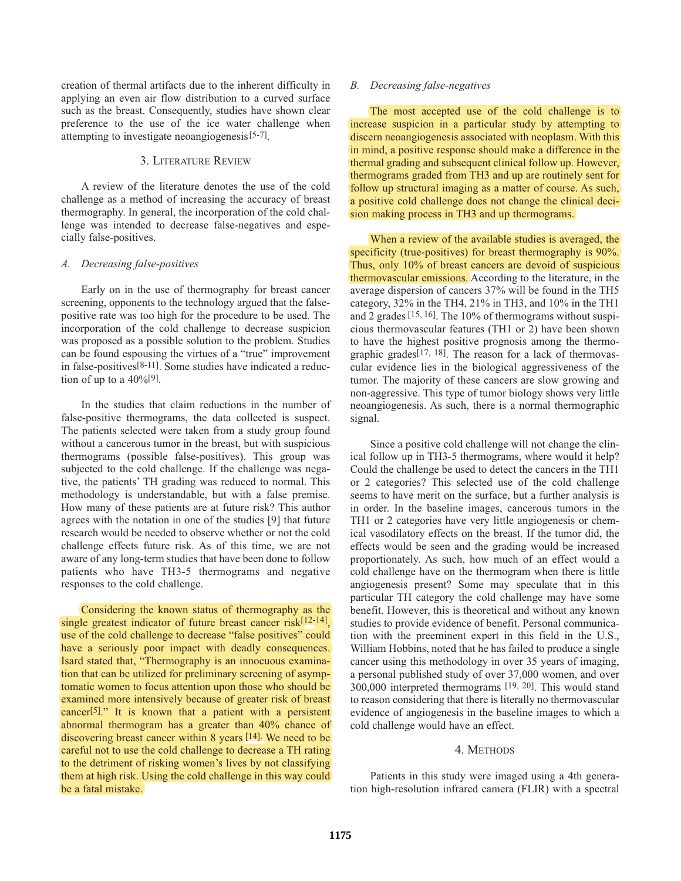creation of thermal artifacts due to the inherent difficulty in applying an even air flow distribution to a curved surface such as the breast. Consequently, studies have shown clear preference to the use of the ice water challenge when attempting to investigate neoangiogenesis[5-7].

## 3. LITERATURE REVIEW

A review of the literature denotes the use of the cold challenge as a method of increasing the accuracy of breast thermography. In general, the incorporation of the cold challenge was intended to decrease false-negatives and especially false-positives.

## *A. Decreasing false-positives*

Early on in the use of thermography for breast cancer screening, opponents to the technology argued that the falsepositive rate was too high for the procedure to be used. The incorporation of the cold challenge to decrease suspicion was proposed as a possible solution to the problem. Studies can be found espousing the virtues of a "true" improvement in false-positives[8-11]. Some studies have indicated a reduction of up to a  $40\frac{1}{9}$ .

In the studies that claim reductions in the number of false-positive thermograms, the data collected is suspect. The patients selected were taken from a study group found without a cancerous tumor in the breast, but with suspicious thermograms (possible false-positives). This group was subjected to the cold challenge. If the challenge was negative, the patients' TH grading was reduced to normal. This methodology is understandable, but with a false premise. How many of these patients are at future risk? This author agrees with the notation in one of the studies [9] that future research would be needed to observe whether or not the cold challenge effects future risk. As of this time, we are not aware of any long-term studies that have been done to follow patients who have TH3-5 thermograms and negative responses to the cold challenge.

Considering the known status of thermography as the single greatest indicator of future breast cancer risk $[12-14]$ , use of the cold challenge to decrease "false positives" could have a seriously poor impact with deadly consequences. Isard stated that, "Thermography is an innocuous examination that can be utilized for preliminary screening of asymptomatic women to focus attention upon those who should be examined more intensively because of greater risk of breast cancer[5]." It is known that a patient with a persistent abnormal thermogram has a greater than 40% chance of discovering breast cancer within 8 years [14]. We need to be careful not to use the cold challenge to decrease a TH rating to the detriment of risking women's lives by not classifying them at high risk. Using the cold challenge in this way could be a fatal mistake.

## *B. Decreasing false-negatives*

The most accepted use of the cold challenge is to increase suspicion in a particular study by attempting to discern neoangiogenesis associated with neoplasm. With this in mind, a positive response should make a difference in the thermal grading and subsequent clinical follow up. However, thermograms graded from TH3 and up are routinely sent for follow up structural imaging as a matter of course. As such, a positive cold challenge does not change the clinical decision making process in TH3 and up thermograms.

When a review of the available studies is averaged, the specificity (true-positives) for breast thermography is 90%. Thus, only 10% of breast cancers are devoid of suspicious thermovascular emissions. According to the literature, in the average dispersion of cancers 37% will be found in the TH5 category, 32% in the TH4, 21% in TH3, and 10% in the TH1 and 2 grades  $[15, 16]$ . The 10% of thermograms without suspicious thermovascular features (TH1 or 2) have been shown to have the highest positive prognosis among the thermographic grades[17, 18]. The reason for a lack of thermovascular evidence lies in the biological aggressiveness of the tumor. The majority of these cancers are slow growing and non-aggressive. This type of tumor biology shows very little neoangiogenesis. As such, there is a normal thermographic signal.

Since a positive cold challenge will not change the clinical follow up in TH3-5 thermograms, where would it help? Could the challenge be used to detect the cancers in the TH1 or 2 categories? This selected use of the cold challenge seems to have merit on the surface, but a further analysis is in order. In the baseline images, cancerous tumors in the TH1 or 2 categories have very little angiogenesis or chemical vasodilatory effects on the breast. If the tumor did, the effects would be seen and the grading would be increased proportionately. As such, how much of an effect would a cold challenge have on the thermogram when there is little angiogenesis present? Some may speculate that in this particular TH category the cold challenge may have some benefit. However, this is theoretical and without any known studies to provide evidence of benefit. Personal communication with the preeminent expert in this field in the U.S., William Hobbins, noted that he has failed to produce a single cancer using this methodology in over 35 years of imaging, a personal published study of over 37,000 women, and over 300,000 interpreted thermograms [19, 20]. This would stand to reason considering that there is literally no thermovascular evidence of angiogenesis in the baseline images to which a cold challenge would have an effect.

## 4. METHODS

Patients in this study were imaged using a 4th generation high-resolution infrared camera (FLIR) with a spectral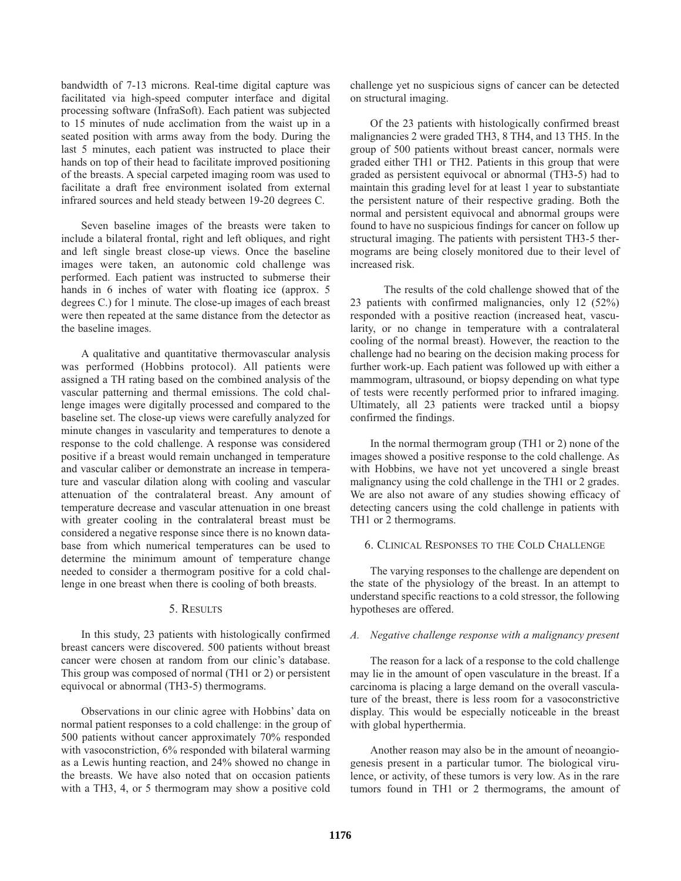bandwidth of 7-13 microns. Real-time digital capture was facilitated via high-speed computer interface and digital processing software (InfraSoft). Each patient was subjected to 15 minutes of nude acclimation from the waist up in a seated position with arms away from the body. During the last 5 minutes, each patient was instructed to place their hands on top of their head to facilitate improved positioning of the breasts. A special carpeted imaging room was used to facilitate a draft free environment isolated from external infrared sources and held steady between 19-20 degrees C.

Seven baseline images of the breasts were taken to include a bilateral frontal, right and left obliques, and right and left single breast close-up views. Once the baseline images were taken, an autonomic cold challenge was performed. Each patient was instructed to submerse their hands in 6 inches of water with floating ice (approx. 5) degrees C.) for 1 minute. The close-up images of each breast were then repeated at the same distance from the detector as the baseline images.

A qualitative and quantitative thermovascular analysis was performed (Hobbins protocol). All patients were assigned a TH rating based on the combined analysis of the vascular patterning and thermal emissions. The cold challenge images were digitally processed and compared to the baseline set. The close-up views were carefully analyzed for minute changes in vascularity and temperatures to denote a response to the cold challenge. A response was considered positive if a breast would remain unchanged in temperature and vascular caliber or demonstrate an increase in temperature and vascular dilation along with cooling and vascular attenuation of the contralateral breast. Any amount of temperature decrease and vascular attenuation in one breast with greater cooling in the contralateral breast must be considered a negative response since there is no known database from which numerical temperatures can be used to determine the minimum amount of temperature change needed to consider a thermogram positive for a cold challenge in one breast when there is cooling of both breasts.

#### 5. RESULTS

In this study, 23 patients with histologically confirmed breast cancers were discovered. 500 patients without breast cancer were chosen at random from our clinic's database. This group was composed of normal (TH1 or 2) or persistent equivocal or abnormal (TH3-5) thermograms.

Observations in our clinic agree with Hobbins' data on normal patient responses to a cold challenge: in the group of 500 patients without cancer approximately 70% responded with vasoconstriction, 6% responded with bilateral warming as a Lewis hunting reaction, and 24% showed no change in the breasts. We have also noted that on occasion patients with a TH3, 4, or 5 thermogram may show a positive cold

challenge yet no suspicious signs of cancer can be detected on structural imaging.

Of the 23 patients with histologically confirmed breast malignancies 2 were graded TH3, 8 TH4, and 13 TH5. In the group of 500 patients without breast cancer, normals were graded either TH1 or TH2. Patients in this group that were graded as persistent equivocal or abnormal (TH3-5) had to maintain this grading level for at least 1 year to substantiate the persistent nature of their respective grading. Both the normal and persistent equivocal and abnormal groups were found to have no suspicious findings for cancer on follow up structural imaging. The patients with persistent TH3-5 thermograms are being closely monitored due to their level of increased risk.

The results of the cold challenge showed that of the 23 patients with confirmed malignancies, only 12 (52%) responded with a positive reaction (increased heat, vascularity, or no change in temperature with a contralateral cooling of the normal breast). However, the reaction to the challenge had no bearing on the decision making process for further work-up. Each patient was followed up with either a mammogram, ultrasound, or biopsy depending on what type of tests were recently performed prior to infrared imaging. Ultimately, all 23 patients were tracked until a biopsy confirmed the findings.

In the normal thermogram group (TH1 or 2) none of the images showed a positive response to the cold challenge. As with Hobbins, we have not yet uncovered a single breast malignancy using the cold challenge in the TH1 or 2 grades. We are also not aware of any studies showing efficacy of detecting cancers using the cold challenge in patients with TH1 or 2 thermograms.

## 6. CLINICAL RESPONSES TO THE COLD CHALLENGE

The varying responses to the challenge are dependent on the state of the physiology of the breast. In an attempt to understand specific reactions to a cold stressor, the following hypotheses are offered.

#### *A. Negative challenge response with a malignancy present*

The reason for a lack of a response to the cold challenge may lie in the amount of open vasculature in the breast. If a carcinoma is placing a large demand on the overall vasculature of the breast, there is less room for a vasoconstrictive display. This would be especially noticeable in the breast with global hyperthermia.

Another reason may also be in the amount of neoangiogenesis present in a particular tumor. The biological virulence, or activity, of these tumors is very low. As in the rare tumors found in TH1 or 2 thermograms, the amount of